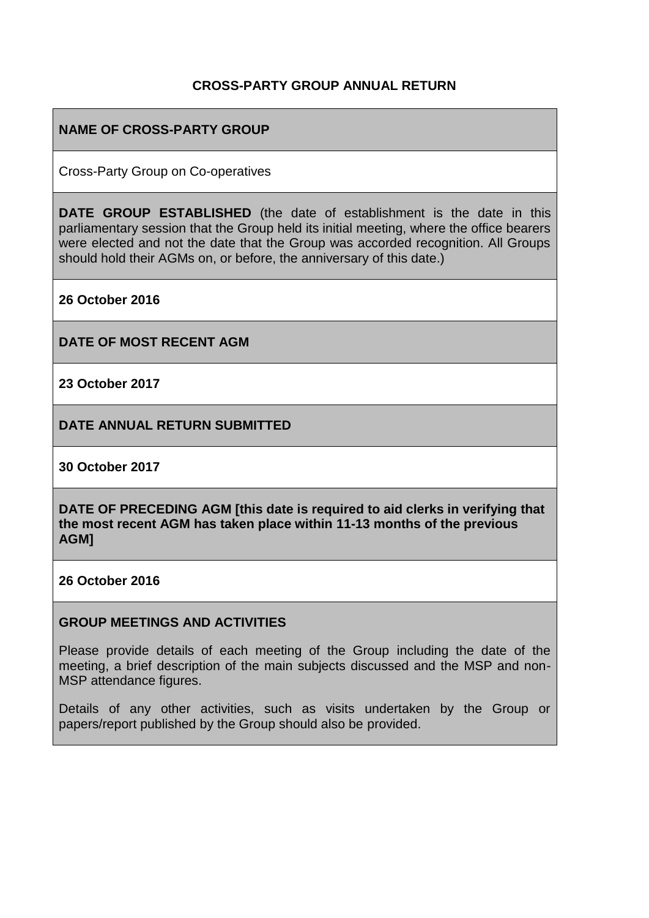## **CROSS-PARTY GROUP ANNUAL RETURN**

## **NAME OF CROSS-PARTY GROUP**

Cross-Party Group on Co-operatives

**DATE GROUP ESTABLISHED** (the date of establishment is the date in this parliamentary session that the Group held its initial meeting, where the office bearers were elected and not the date that the Group was accorded recognition. All Groups should hold their AGMs on, or before, the anniversary of this date.)

**26 October 2016**

**DATE OF MOST RECENT AGM**

**23 October 2017**

**DATE ANNUAL RETURN SUBMITTED**

**30 October 2017**

**DATE OF PRECEDING AGM [this date is required to aid clerks in verifying that the most recent AGM has taken place within 11-13 months of the previous AGM]**

**26 October 2016**

#### **GROUP MEETINGS AND ACTIVITIES**

Please provide details of each meeting of the Group including the date of the meeting, a brief description of the main subjects discussed and the MSP and non-MSP attendance figures.

Details of any other activities, such as visits undertaken by the Group or papers/report published by the Group should also be provided.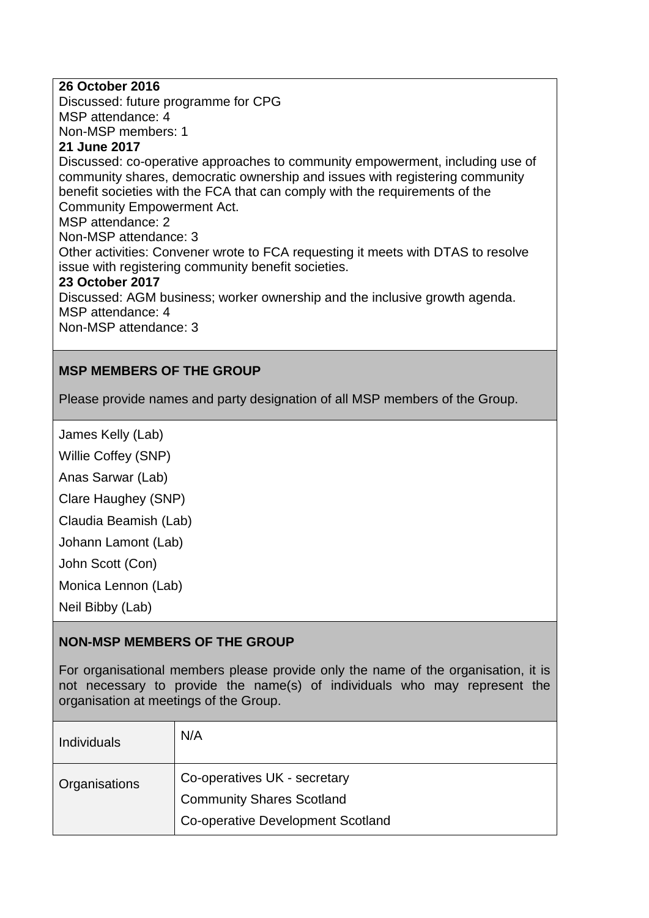### **26 October 2016**

Discussed: future programme for CPG MSP attendance: 4

Non-MSP members: 1

## **21 June 2017**

Discussed: co-operative approaches to community empowerment, including use of community shares, democratic ownership and issues with registering community benefit societies with the FCA that can comply with the requirements of the Community Empowerment Act.

MSP attendance: 2

Non-MSP attendance: 3

Other activities: Convener wrote to FCA requesting it meets with DTAS to resolve issue with registering community benefit societies.

#### **23 October 2017**

Discussed: AGM business; worker ownership and the inclusive growth agenda. MSP attendance: 4 Non-MSP attendance: 3

## **MSP MEMBERS OF THE GROUP**

Please provide names and party designation of all MSP members of the Group.

James Kelly (Lab)

Willie Coffey (SNP)

Anas Sarwar (Lab)

Clare Haughey (SNP)

Claudia Beamish (Lab)

Johann Lamont (Lab)

John Scott (Con)

Monica Lennon (Lab)

Neil Bibby (Lab)

#### **NON-MSP MEMBERS OF THE GROUP**

For organisational members please provide only the name of the organisation, it is not necessary to provide the name(s) of individuals who may represent the organisation at meetings of the Group.

| <b>Individuals</b> | N/A                                                                                                   |
|--------------------|-------------------------------------------------------------------------------------------------------|
| Organisations      | Co-operatives UK - secretary<br><b>Community Shares Scotland</b><br>Co-operative Development Scotland |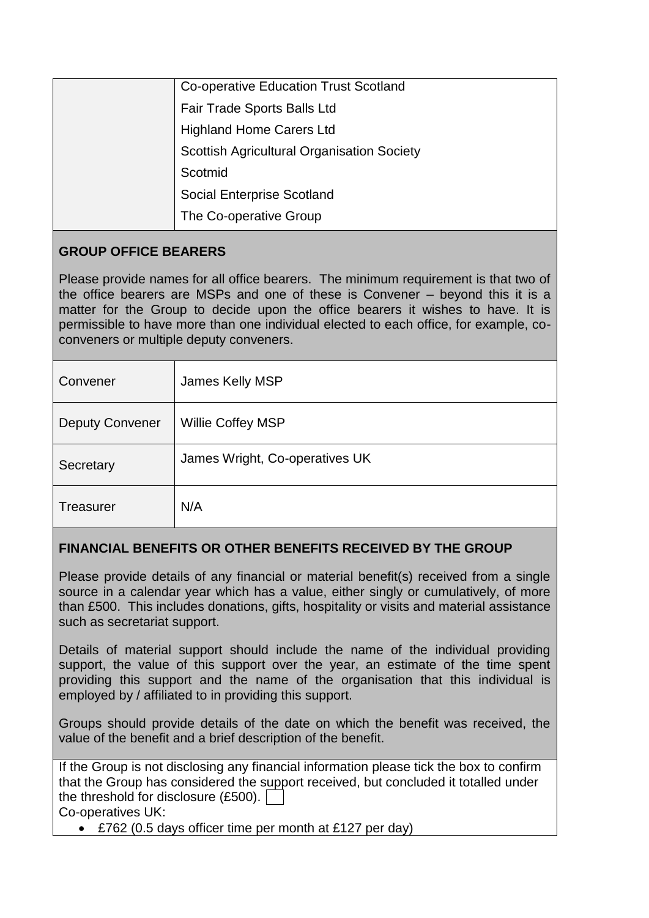| <b>Co-operative Education Trust Scotland</b>      |
|---------------------------------------------------|
| Fair Trade Sports Balls Ltd                       |
| <b>Highland Home Carers Ltd</b>                   |
| <b>Scottish Agricultural Organisation Society</b> |
| Scotmid                                           |
| <b>Social Enterprise Scotland</b>                 |
| The Co-operative Group                            |

# **GROUP OFFICE BEARERS**

Please provide names for all office bearers. The minimum requirement is that two of the office bearers are MSPs and one of these is Convener – beyond this it is a matter for the Group to decide upon the office bearers it wishes to have. It is permissible to have more than one individual elected to each office, for example, coconveners or multiple deputy conveners.

| Convener               | James Kelly MSP                |
|------------------------|--------------------------------|
| <b>Deputy Convener</b> | Willie Coffey MSP              |
| Secretary              | James Wright, Co-operatives UK |
| <b>Treasurer</b>       | N/A                            |

# **FINANCIAL BENEFITS OR OTHER BENEFITS RECEIVED BY THE GROUP**

Please provide details of any financial or material benefit(s) received from a single source in a calendar year which has a value, either singly or cumulatively, of more than £500. This includes donations, gifts, hospitality or visits and material assistance such as secretariat support.

Details of material support should include the name of the individual providing support, the value of this support over the year, an estimate of the time spent providing this support and the name of the organisation that this individual is employed by / affiliated to in providing this support.

Groups should provide details of the date on which the benefit was received, the value of the benefit and a brief description of the benefit.

| If the Group is not disclosing any financial information please tick the box to confirm |
|-----------------------------------------------------------------------------------------|
| that the Group has considered the support received, but concluded it totalled under     |
| the threshold for disclosure $(E500)$ . $\vert$                                         |
| Co-operatives UK:                                                                       |

£762 (0.5 days officer time per month at £127 per day)